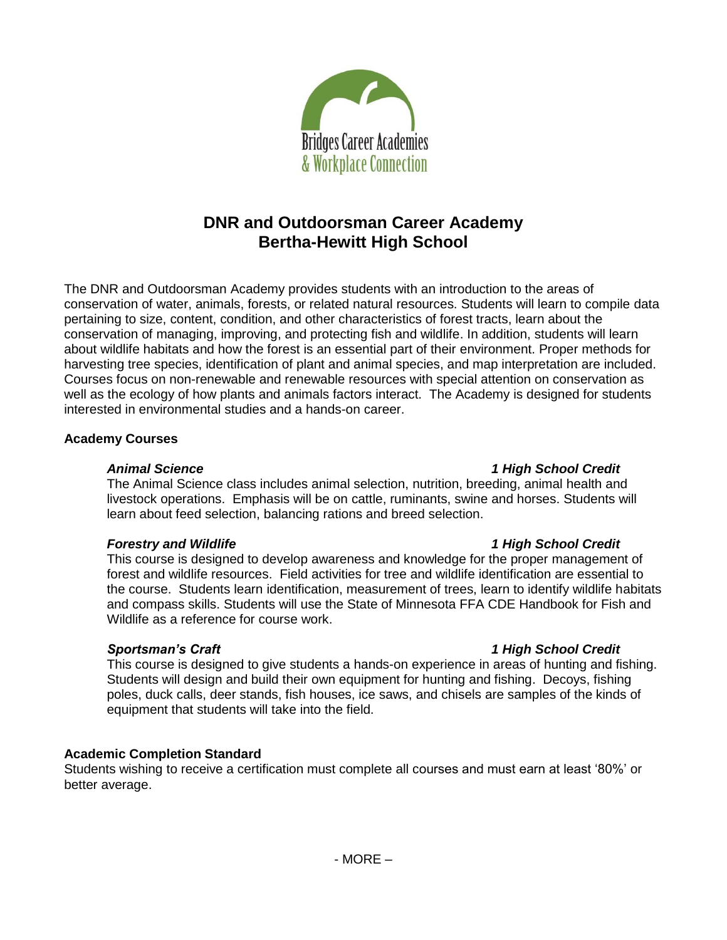

# **DNR and Outdoorsman Career Academy Bertha-Hewitt High School**

The DNR and Outdoorsman Academy provides students with an introduction to the areas of conservation of water, animals, forests, or related natural resources. Students will learn to compile data pertaining to size, content, condition, and other characteristics of forest tracts, learn about the conservation of managing, improving, and protecting fish and wildlife. In addition, students will learn about wildlife habitats and how the forest is an essential part of their environment. Proper methods for harvesting tree species, identification of plant and animal species, and map interpretation are included. Courses focus on non-renewable and renewable resources with special attention on conservation as well as the ecology of how plants and animals factors interact. The Academy is designed for students interested in environmental studies and a hands-on career.

### **Academy Courses**

### *Animal Science 1 High School Credit*

The Animal Science class includes animal selection, nutrition, breeding, animal health and livestock operations. Emphasis will be on cattle, ruminants, swine and horses. Students will learn about feed selection, balancing rations and breed selection.

# *Forestry and Wildlife 1 High School Credit*

This course is designed to develop awareness and knowledge for the proper management of forest and wildlife resources. Field activities for tree and wildlife identification are essential to the course. Students learn identification, measurement of trees, learn to identify wildlife habitats and compass skills. Students will use the State of Minnesota FFA CDE Handbook for Fish and Wildlife as a reference for course work.

# *Sportsman's Craft 1 High School Credit*

This course is designed to give students a hands-on experience in areas of hunting and fishing. Students will design and build their own equipment for hunting and fishing. Decoys, fishing poles, duck calls, deer stands, fish houses, ice saws, and chisels are samples of the kinds of equipment that students will take into the field.

# **Academic Completion Standard**

Students wishing to receive a certification must complete all courses and must earn at least '80%' or better average.